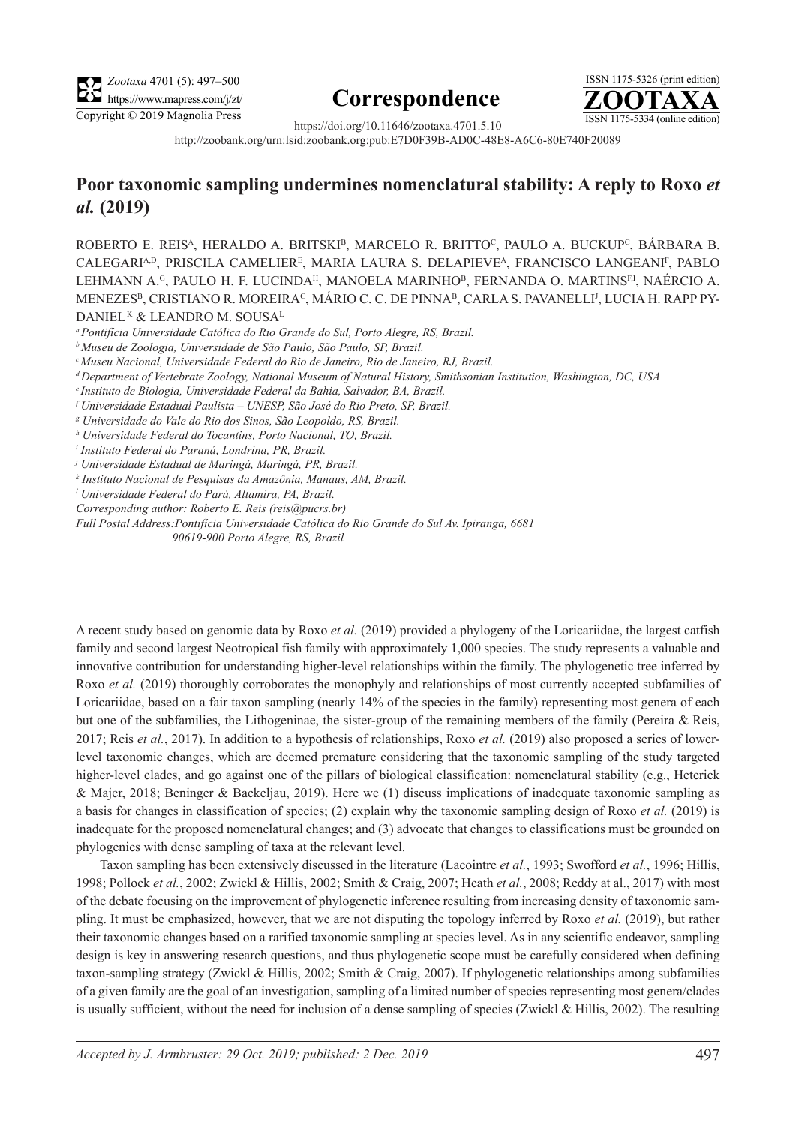## **Correspondence**



https://doi.org/10.11646/zootaxa.4701.5.10 http://zoobank.org/urn:lsid:zoobank.org:pub:E7D0F39B-AD0C-48E8-A6C6-80E740F20089

## **Poor taxonomic sampling undermines nomenclatural stability: A reply to Roxo** *et al.* **(2019)**

ROBERTO E. REIS<sup>A</sup>, HERALDO A. BRITSKI<sup>B</sup>, MARCELO R. BRITTO<sup>C</sup>, PAULO A. BUCKUP<sup>C</sup>, BÁRBARA B. CALEGARI<sup>ad</sup>, PRISCILA CAMELIER<sup>e</sup>, MARIA LAURA S. DELAPIEVE<sup>a</sup>, FRANCISCO LANGEANI<sup>f</sup>, PABLO LEHMANN A.<sup>G</sup>, PAULO H. F. LUCINDA<sup>H</sup>, MANOELA MARINHO<sup>B</sup>, FERNANDA O. MARTINS<sup>F.I</sup>, NAÉRCIO A. MENEZES<sup>B</sup>, CRISTIANO R. MOREIRA<sup>c</sup>, MÁRIO C. C. DE PINNA<sup>b</sup>, CARLA S. PAVANELLI<sup>J</sup>, LUCIA H. RAPP PY-DANIEL<sup>K</sup> & LEANDRO M. SOUSA<sup>L</sup>

- *a Pontifícia Universidade Católica do Rio Grande do Sul, Porto Alegre, RS, Brazil.*
- *b Museu de Zoologia, Universidade de São Paulo, São Paulo, SP, Brazil.*
- *c Museu Nacional, Universidade Federal do Rio de Janeiro, Rio de Janeiro, RJ, Brazil.*
- *d Department of Vertebrate Zoology, National Museum of Natural History, Smithsonian Institution, Washington, DC, USA*
- *e Instituto de Biologia, Universidade Federal da Bahia, Salvador, BA, Brazil.*
- *f Universidade Estadual Paulista UNESP, São José do Rio Preto, SP, Brazil.*
- *g Universidade do Vale do Rio dos Sinos, São Leopoldo, RS, Brazil.*
- *h Universidade Federal do Tocantins, Porto Nacional, TO, Brazil.*
- *i Instituto Federal do Paraná, Londrina, PR, Brazil.*
- *j Universidade Estadual de Maringá, Maringá, PR, Brazil.*
- *k Instituto Nacional de Pesquisas da Amazônia, Manaus, AM, Brazil.*
- *l Universidade Federal do Pará, Altamira, PA, Brazil.*
- *Corresponding author: Roberto E. Reis (reis@pucrs.br)*

*Full Postal Address:Pontifícia Universidade Católica do Rio Grande do Sul Av. Ipiranga, 6681 90619-900 Porto Alegre, RS, Brazil*

A recent study based on genomic data by Roxo *et al.* (2019) provided a phylogeny of the Loricariidae, the largest catfish family and second largest Neotropical fish family with approximately 1,000 species. The study represents a valuable and innovative contribution for understanding higher-level relationships within the family. The phylogenetic tree inferred by Roxo *et al.* (2019) thoroughly corroborates the monophyly and relationships of most currently accepted subfamilies of Loricariidae, based on a fair taxon sampling (nearly 14% of the species in the family) representing most genera of each but one of the subfamilies, the Lithogeninae, the sister-group of the remaining members of the family (Pereira & Reis, 2017; Reis *et al.*, 2017). In addition to a hypothesis of relationships, Roxo *et al.* (2019) also proposed a series of lowerlevel taxonomic changes, which are deemed premature considering that the taxonomic sampling of the study targeted higher-level clades, and go against one of the pillars of biological classification: nomenclatural stability (e.g., Heterick & Majer, 2018; Beninger & Backeljau, 2019). Here we (1) discuss implications of inadequate taxonomic sampling as a basis for changes in classification of species; (2) explain why the taxonomic sampling design of Roxo *et al.* (2019) is inadequate for the proposed nomenclatural changes; and (3) advocate that changes to classifications must be grounded on phylogenies with dense sampling of taxa at the relevant level.

Taxon sampling has been extensively discussed in the literature (Lacointre *et al.*, 1993; Swofford *et al.*, 1996; Hillis, 1998; Pollock *et al.*, 2002; Zwickl & Hillis, 2002; Smith & Craig, 2007; Heath *et al.*, 2008; Reddy at al., 2017) with most of the debate focusing on the improvement of phylogenetic inference resulting from increasing density of taxonomic sampling. It must be emphasized, however, that we are not disputing the topology inferred by Roxo *et al.* (2019), but rather their taxonomic changes based on a rarified taxonomic sampling at species level. As in any scientific endeavor, sampling design is key in answering research questions, and thus phylogenetic scope must be carefully considered when defining taxon-sampling strategy (Zwickl & Hillis, 2002; Smith & Craig, 2007). If phylogenetic relationships among subfamilies of a given family are the goal of an investigation, sampling of a limited number of species representing most genera/clades is usually sufficient, without the need for inclusion of a dense sampling of species (Zwickl & Hillis, 2002). The resulting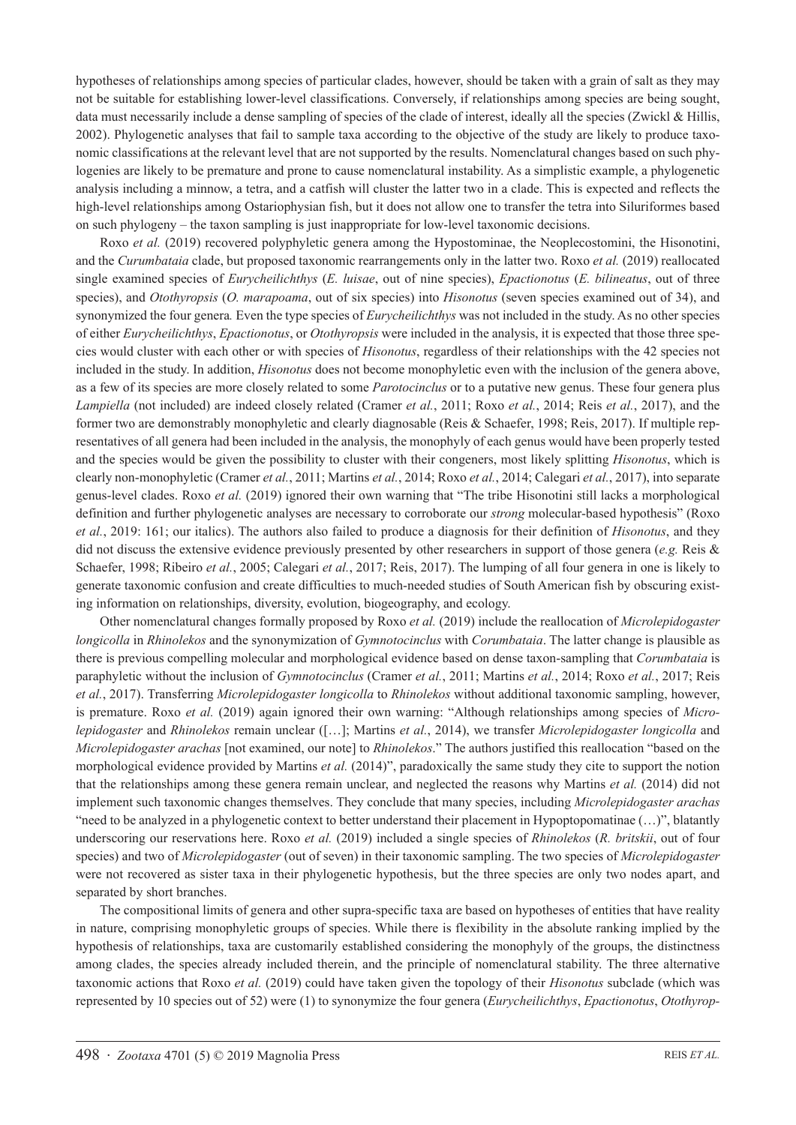hypotheses of relationships among species of particular clades, however, should be taken with a grain of salt as they may not be suitable for establishing lower-level classifications. Conversely, if relationships among species are being sought, data must necessarily include a dense sampling of species of the clade of interest, ideally all the species (Zwickl & Hillis, 2002). Phylogenetic analyses that fail to sample taxa according to the objective of the study are likely to produce taxonomic classifications at the relevant level that are not supported by the results. Nomenclatural changes based on such phylogenies are likely to be premature and prone to cause nomenclatural instability. As a simplistic example, a phylogenetic analysis including a minnow, a tetra, and a catfish will cluster the latter two in a clade. This is expected and reflects the high-level relationships among Ostariophysian fish, but it does not allow one to transfer the tetra into Siluriformes based on such phylogeny – the taxon sampling is just inappropriate for low-level taxonomic decisions.

Roxo *et al.* (2019) recovered polyphyletic genera among the Hypostominae, the Neoplecostomini, the Hisonotini, and the *Curumbataia* clade, but proposed taxonomic rearrangements only in the latter two. Roxo *et al.* (2019) reallocated single examined species of *Eurycheilichthys* (*E. luisae*, out of nine species), *Epactionotus* (*E. bilineatus*, out of three species), and *Otothyropsis* (*O. marapoama*, out of six species) into *Hisonotus* (seven species examined out of 34), and synonymized the four genera*.* Even the type species of *Eurycheilichthys* was not included in the study. As no other species of either *Eurycheilichthys*, *Epactionotus*, or *Otothyropsis* were included in the analysis, it is expected that those three species would cluster with each other or with species of *Hisonotus*, regardless of their relationships with the 42 species not included in the study. In addition, *Hisonotus* does not become monophyletic even with the inclusion of the genera above, as a few of its species are more closely related to some *Parotocinclus* or to a putative new genus. These four genera plus *Lampiella* (not included) are indeed closely related (Cramer *et al.*, 2011; Roxo *et al.*, 2014; Reis *et al.*, 2017), and the former two are demonstrably monophyletic and clearly diagnosable (Reis & Schaefer, 1998; Reis, 2017). If multiple representatives of all genera had been included in the analysis, the monophyly of each genus would have been properly tested and the species would be given the possibility to cluster with their congeners, most likely splitting *Hisonotus*, which is clearly non-monophyletic (Cramer *et al.*, 2011; Martins *et al.*, 2014; Roxo *et al.*, 2014; Calegari *et al.*, 2017), into separate genus-level clades. Roxo *et al.* (2019) ignored their own warning that "The tribe Hisonotini still lacks a morphological definition and further phylogenetic analyses are necessary to corroborate our *strong* molecular-based hypothesis" (Roxo *et al.*, 2019: 161; our italics). The authors also failed to produce a diagnosis for their definition of *Hisonotus*, and they did not discuss the extensive evidence previously presented by other researchers in support of those genera (*e.g.* Reis & Schaefer, 1998; Ribeiro *et al.*, 2005; Calegari *et al.*, 2017; Reis, 2017). The lumping of all four genera in one is likely to generate taxonomic confusion and create difficulties to much-needed studies of South American fish by obscuring existing information on relationships, diversity, evolution, biogeography, and ecology.

Other nomenclatural changes formally proposed by Roxo *et al.* (2019) include the reallocation of *Microlepidogaster longicolla* in *Rhinolekos* and the synonymization of *Gymnotocinclus* with *Corumbataia*. The latter change is plausible as there is previous compelling molecular and morphological evidence based on dense taxon-sampling that *Corumbataia* is paraphyletic without the inclusion of *Gymnotocinclus* (Cramer *et al.*, 2011; Martins *et al.*, 2014; Roxo *et al.*, 2017; Reis *et al.*, 2017). Transferring *Microlepidogaster longicolla* to *Rhinolekos* without additional taxonomic sampling, however, is premature. Roxo *et al.* (2019) again ignored their own warning: "Although relationships among species of *Microlepidogaster* and *Rhinolekos* remain unclear ([…]; Martins *et al.*, 2014), we transfer *Microlepidogaster longicolla* and *Microlepidogaster arachas* [not examined, our note] to *Rhinolekos*." The authors justified this reallocation "based on the morphological evidence provided by Martins *et al.* (2014)", paradoxically the same study they cite to support the notion that the relationships among these genera remain unclear, and neglected the reasons why Martins *et al.* (2014) did not implement such taxonomic changes themselves. They conclude that many species, including *Microlepidogaster arachas* "need to be analyzed in a phylogenetic context to better understand their placement in Hypoptopomatinae (…)", blatantly underscoring our reservations here. Roxo *et al.* (2019) included a single species of *Rhinolekos* (*R. britskii*, out of four species) and two of *Microlepidogaster* (out of seven) in their taxonomic sampling. The two species of *Microlepidogaster* were not recovered as sister taxa in their phylogenetic hypothesis, but the three species are only two nodes apart, and separated by short branches.

The compositional limits of genera and other supra-specific taxa are based on hypotheses of entities that have reality in nature, comprising monophyletic groups of species. While there is flexibility in the absolute ranking implied by the hypothesis of relationships, taxa are customarily established considering the monophyly of the groups, the distinctness among clades, the species already included therein, and the principle of nomenclatural stability. The three alternative taxonomic actions that Roxo *et al.* (2019) could have taken given the topology of their *Hisonotus* subclade (which was represented by 10 species out of 52) were (1) to synonymize the four genera (*Eurycheilichthys*, *Epactionotus*, *Otothyrop-*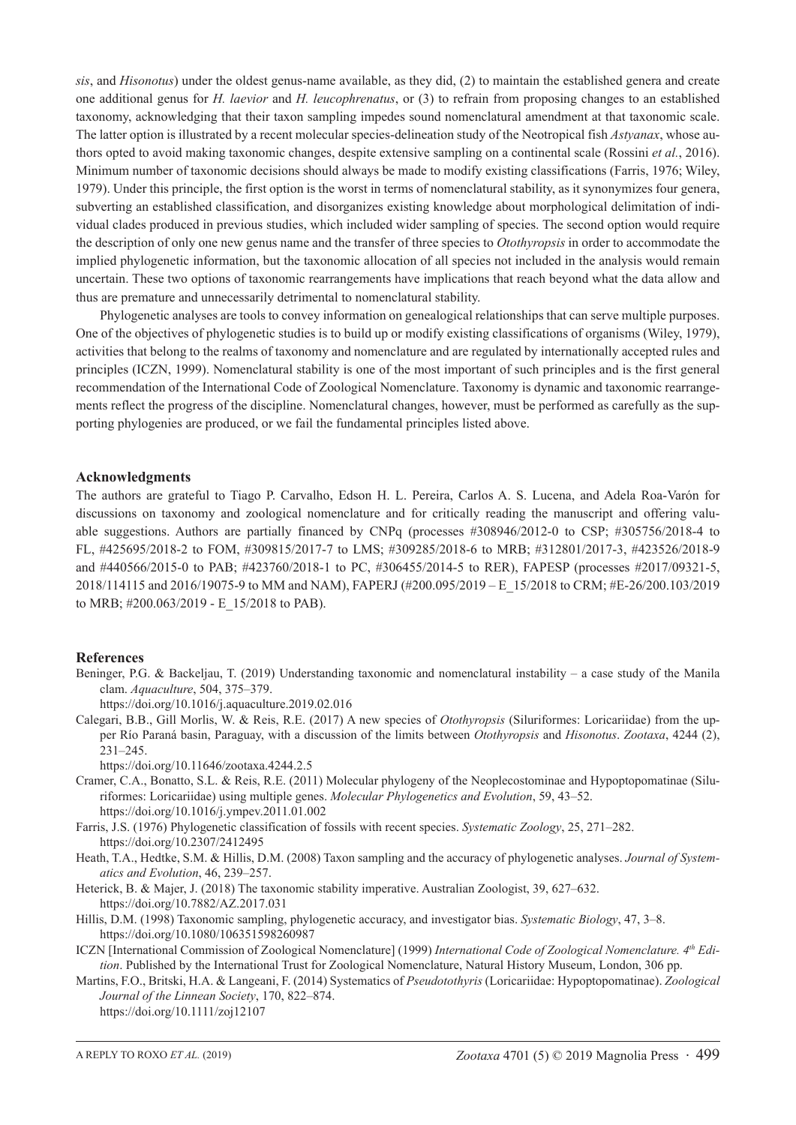*sis*, and *Hisonotus*) under the oldest genus-name available, as they did, (2) to maintain the established genera and create one additional genus for *H. laevior* and *H. leucophrenatus*, or (3) to refrain from proposing changes to an established taxonomy, acknowledging that their taxon sampling impedes sound nomenclatural amendment at that taxonomic scale. The latter option is illustrated by a recent molecular species-delineation study of the Neotropical fish *Astyanax*, whose authors opted to avoid making taxonomic changes, despite extensive sampling on a continental scale (Rossini *et al.*, 2016). Minimum number of taxonomic decisions should always be made to modify existing classifications (Farris, 1976; Wiley, 1979). Under this principle, the first option is the worst in terms of nomenclatural stability, as it synonymizes four genera, subverting an established classification, and disorganizes existing knowledge about morphological delimitation of individual clades produced in previous studies, which included wider sampling of species. The second option would require the description of only one new genus name and the transfer of three species to *Otothyropsis* in order to accommodate the implied phylogenetic information, but the taxonomic allocation of all species not included in the analysis would remain uncertain. These two options of taxonomic rearrangements have implications that reach beyond what the data allow and thus are premature and unnecessarily detrimental to nomenclatural stability.

Phylogenetic analyses are tools to convey information on genealogical relationships that can serve multiple purposes. One of the objectives of phylogenetic studies is to build up or modify existing classifications of organisms (Wiley, 1979), activities that belong to the realms of taxonomy and nomenclature and are regulated by internationally accepted rules and principles (ICZN, 1999). Nomenclatural stability is one of the most important of such principles and is the first general recommendation of the International Code of Zoological Nomenclature. Taxonomy is dynamic and taxonomic rearrangements reflect the progress of the discipline. Nomenclatural changes, however, must be performed as carefully as the supporting phylogenies are produced, or we fail the fundamental principles listed above.

## **Acknowledgments**

The authors are grateful to Tiago P. Carvalho, Edson H. L. Pereira, Carlos A. S. Lucena, and Adela Roa-Varón for discussions on taxonomy and zoological nomenclature and for critically reading the manuscript and offering valuable suggestions. Authors are partially financed by CNPq (processes #308946/2012-0 to CSP; #305756/2018-4 to FL, #425695/2018-2 to FOM, #309815/2017-7 to LMS; #309285/2018-6 to MRB; #312801/2017-3, #423526/2018-9 and #440566/2015-0 to PAB; #423760/2018-1 to PC, #306455/2014-5 to RER), FAPESP (processes #2017/09321-5, 2018/114115 and 2016/19075-9 to MM and NAM), FAPERJ (#200.095/2019 – E\_15/2018 to CRM; #E-26/200.103/2019 to MRB; #200.063/2019 - E\_15/2018 to PAB).

## **References**

Beninger, P.G. & Backeljau, T. (2019) Understanding taxonomic and nomenclatural instability – a case study of the Manila clam. *Aquaculture*, 504, 375–379.

[https://doi.org/10.1016/j.aquaculture.2019.02.016](https://doi.org/10.1016/j.aquaculture.2019.02.0)

Calegari, B.B., Gill Morlis, W. & Reis, R.E. (2017) A new species of *Otothyropsis* (Siluriformes: Loricariidae) from the upper Río Paraná basin, Paraguay, with a discussion of the limits between *Otothyropsis* and *Hisonotus*. *Zootaxa*, 4244 (2), 231–245.

<https://doi.org/10.11646/zootaxa.4244.2.5>

- Cramer, C.A., Bonatto, S.L. & Reis, R.E. (2011) Molecular phylogeny of the Neoplecostominae and Hypoptopomatinae (Siluriformes: Loricariidae) using multiple genes. *Molecular Phylogenetics and Evolution*, 59, 43–52. <https://doi.org/10.1016/j.ympev.2011.01.002>
- Farris, J.S. (1976) Phylogenetic classification of fossils with recent species. *Systematic Zoology*, 25, 271–282. <https://doi.org/10.2307/2412495>
- Heath, T.A., Hedtke, S.M. & Hillis, D.M. (2008) Taxon sampling and the accuracy of phylogenetic analyses. *Journal of Systematics and Evolution*, 46, 239–257.
- Heterick, B. & Majer, J. (2018) The taxonomic stability imperative. Australian Zoologist, 39, 627–632. <https://doi.org/10.7882/AZ.2017.031>
- Hillis, D.M. (1998) Taxonomic sampling, phylogenetic accuracy, and investigator bias. *Systematic Biology*, 47, 3–8. <https://doi.org/10.1080/106351598260987>
- ICZN [International Commission of Zoological Nomenclature] (1999) *International Code of Zoological Nomenclature. 4th Edition*. Published by the International Trust for Zoological Nomenclature, Natural History Museum, London, 306 pp.
- Martins, F.O., Britski, H.A. & Langeani, F. (2014) Systematics of *Pseudotothyris* (Loricariidae: Hypoptopomatinae). *Zoological Journal of the Linnean Society*, 170, 822–874.